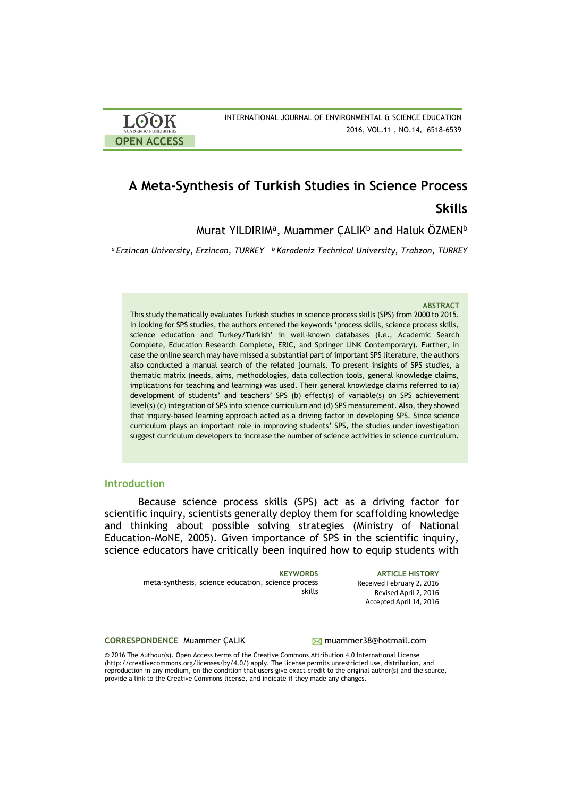| <b>LOOK</b>                | INTERNATIONAL JOURNAL OF ENVIRONMENTAL & SCIENCE EDUCATION |
|----------------------------|------------------------------------------------------------|
| <b>ACADEMIC PUBLISHERS</b> | 2016, VOL.11, NO.14, 6518-6539                             |
| <b>OPEN ACCESS</b>         |                                                            |

# **A Meta-Synthesis of Turkish Studies in Science Process**

**Skills** 

Murat YILDIRIM<sup>a</sup>, Muammer ÇALIK<sup>b</sup> and Haluk ÖZMEN<sup>b</sup>

*<sup>a</sup>Erzincan University, Erzincan, TURKEY <sup>b</sup>Karadeniz Technical University, Trabzon, TURKEY*

#### **ABSTRACT**

This study thematically evaluates Turkish studies in science process skills (SPS) from 2000 to 2015. In looking for SPS studies, the authors entered the keywords 'process skills, science process skills, science education and Turkey/Turkish' in well-known databases (i.e., Academic Search Complete, Education Research Complete, ERIC, and Springer LINK Contemporary). Further, in case the online search may have missed a substantial part of important SPS literature, the authors also conducted a manual search of the related journals. To present insights of SPS studies, a thematic matrix (needs, aims, methodologies, data collection tools, general knowledge claims, implications for teaching and learning) was used. Their general knowledge claims referred to (a) development of students' and teachers' SPS (b) effect(s) of variable(s) on SPS achievement level(s) (c) integration of SPS into science curriculum and (d) SPS measurement. Also, they showed that inquiry-based learning approach acted as a driving factor in developing SPS. Since science curriculum plays an important role in improving students' SPS, the studies under investigation suggest curriculum developers to increase the number of science activities in science curriculum.

#### **Introduction**

Because science process skills (SPS) act as a driving factor for scientific inquiry, scientists generally deploy them for scaffolding knowledge and thinking about possible solving strategies (Ministry of National Education–MoNE, 2005). Given importance of SPS in the scientific inquiry, science educators have critically been inquired how to equip students with

meta-synthesis, science education, science process skills

**KEYWORDS ARTICLE HISTORY** Received February 2, 2016 Revised April 2, 2016 Accepted April 14, 2016

**CORRESPONDENCE** Muammer CALIK **Muammer38@hotmail.com** 

© 2016 The Authour(s). Open Access terms of the Creative Commons Attribution 4.0 International License (http://creativecommons.org/licenses/by/4.0/) apply. The license permits unrestricted use, distribution, and reproduction in any medium, on the condition that users give exact credit to the original author(s) and the source, provide a link to the Creative Commons license, and indicate if they made any changes.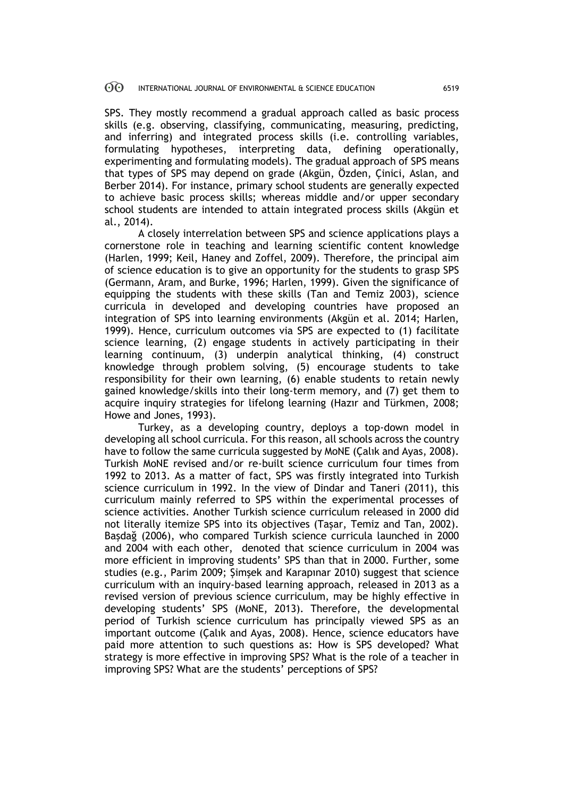SPS. They mostly recommend a gradual approach called as basic process skills (e.g. observing, classifying, communicating, measuring, predicting, and inferring) and integrated process skills (i.e. controlling variables, formulating hypotheses, interpreting data, defining operationally, experimenting and formulating models). The gradual approach of SPS means that types of SPS may depend on grade (Akgün, Özden, Çinici, Aslan, and Berber 2014). For instance, primary school students are generally expected to achieve basic process skills; whereas middle and/or upper secondary school students are intended to attain integrated process skills (Akgün et al., 2014).

A closely interrelation between SPS and science applications plays a cornerstone role in teaching and learning scientific content knowledge (Harlen, 1999; Keil, Haney and Zoffel, 2009). Therefore, the principal aim of science education is to give an opportunity for the students to grasp SPS (Germann, Aram, and Burke, 1996; Harlen, 1999). Given the significance of equipping the students with these skills (Tan and Temiz 2003), science curricula in developed and developing countries have proposed an integration of SPS into learning environments (Akgün et al. 2014; Harlen, 1999). Hence, curriculum outcomes via SPS are expected to (1) facilitate science learning, (2) engage students in actively participating in their learning continuum, (3) underpin analytical thinking, (4) construct knowledge through problem solving, (5) encourage students to take responsibility for their own learning, (6) enable students to retain newly gained knowledge/skills into their long-term memory, and (7) get them to acquire inquiry strategies for lifelong learning (Hazır and Türkmen, 2008; Howe and Jones, 1993).

Turkey, as a developing country, deploys a top-down model in developing all school curricula. For this reason, all schools across the country have to follow the same curricula suggested by MoNE (Çalık and Ayas, 2008). Turkish MoNE revised and/or re-built science curriculum four times from 1992 to 2013. As a matter of fact, SPS was firstly integrated into Turkish science curriculum in 1992. In the view of Dindar and Taneri (2011), this curriculum mainly referred to SPS within the experimental processes of science activities. Another Turkish science curriculum released in 2000 did not literally itemize SPS into its objectives (Taşar, Temiz and Tan, 2002). Başdağ (2006), who compared Turkish science curricula launched in 2000 and 2004 with each other, denoted that science curriculum in 2004 was more efficient in improving students' SPS than that in 2000. Further, some studies (e.g., Parim 2009; Şimşek and Karapınar 2010) suggest that science curriculum with an inquiry-based learning approach, released in 2013 as a revised version of previous science curriculum, may be highly effective in developing students' SPS (MoNE, 2013). Therefore, the developmental period of Turkish science curriculum has principally viewed SPS as an important outcome (Çalık and Ayas, 2008). Hence, science educators have paid more attention to such questions as: How is SPS developed? What strategy is more effective in improving SPS? What is the role of a teacher in improving SPS? What are the students' perceptions of SPS?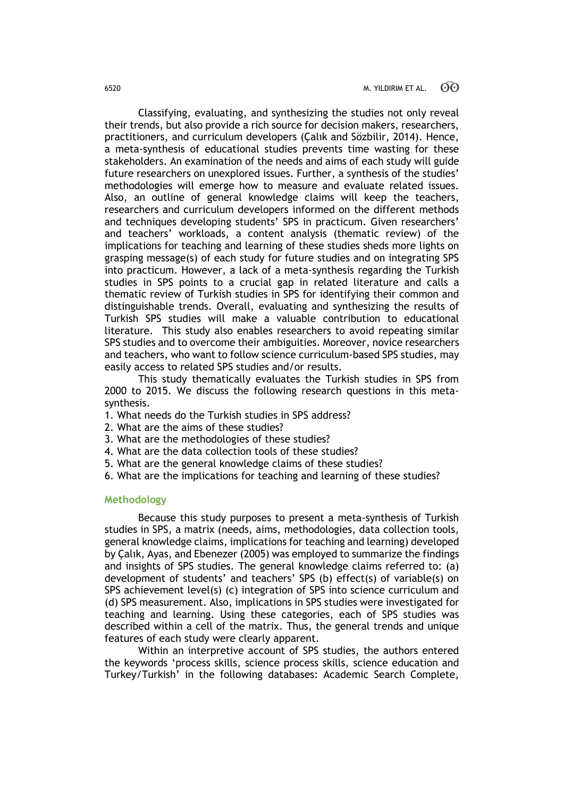Classifying, evaluating, and synthesizing the studies not only reveal their trends, but also provide a rich source for decision makers, researchers, practitioners, and curriculum developers (Çalık and Sözbilir, 2014). Hence, a meta-synthesis of educational studies prevents time wasting for these stakeholders. An examination of the needs and aims of each study will guide future researchers on unexplored issues. Further, a synthesis of the studies' methodologies will emerge how to measure and evaluate related issues. Also, an outline of general knowledge claims will keep the teachers, researchers and curriculum developers informed on the different methods and techniques developing students' SPS in practicum. Given researchers' and teachers' workloads, a content analysis (thematic review) of the implications for teaching and learning of these studies sheds more lights on grasping message(s) of each study for future studies and on integrating SPS into practicum. However, a lack of a meta-synthesis regarding the Turkish studies in SPS points to a crucial gap in related literature and calls a thematic review of Turkish studies in SPS for identifying their common and distinguishable trends. Overall, evaluating and synthesizing the results of Turkish SPS studies will make a valuable contribution to educational literature. This study also enables researchers to avoid repeating similar SPS studies and to overcome their ambiguities. Moreover, novice researchers and teachers, who want to follow science curriculum-based SPS studies, may easily access to related SPS studies and/or results.

This study thematically evaluates the Turkish studies in SPS from 2000 to 2015. We discuss the following research questions in this metasynthesis.

- 1. What needs do the Turkish studies in SPS address?
- 2. What are the aims of these studies?
- 3. What are the methodologies of these studies?
- 4. What are the data collection tools of these studies?
- 5. What are the general knowledge claims of these studies?
- 6. What are the implications for teaching and learning of these studies?

#### **Methodology**

Because this study purposes to present a meta-synthesis of Turkish studies in SPS, a matrix (needs, aims, methodologies, data collection tools, general knowledge claims, implications for teaching and learning) developed by Çalık, Ayas, and Ebenezer (2005) was employed to summarize the findings and insights of SPS studies. The general knowledge claims referred to: (a) development of students' and teachers' SPS (b) effect(s) of variable(s) on SPS achievement level(s) (c) integration of SPS into science curriculum and (d) SPS measurement. Also, implications in SPS studies were investigated for teaching and learning. Using these categories, each of SPS studies was described within a cell of the matrix. Thus, the general trends and unique features of each study were clearly apparent.

Within an interpretive account of SPS studies, the authors entered the keywords 'process skills, science process skills, science education and Turkey/Turkish' in the following databases: Academic Search Complete,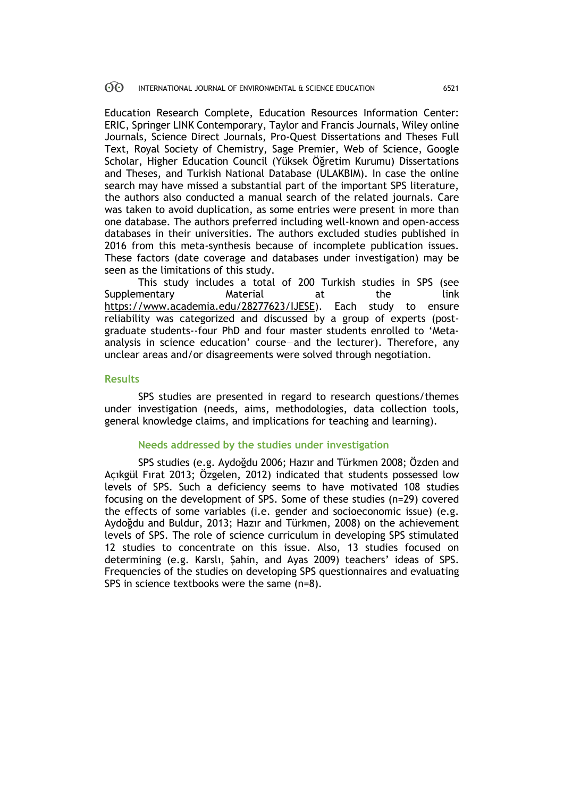Education Research Complete, Education Resources Information Center: ERIC, Springer LINK Contemporary, Taylor and Francis Journals, Wiley online Journals, Science Direct Journals, Pro-Quest Dissertations and Theses Full Text, Royal Society of Chemistry, Sage Premier, Web of Science, Google Scholar, Higher Education Council (Yüksek Öğretim Kurumu) Dissertations and Theses, and Turkish National Database (ULAKBIM). In case the online search may have missed a substantial part of the important SPS literature, the authors also conducted a manual search of the related journals. Care was taken to avoid duplication, as some entries were present in more than one database. The authors preferred including well-known and open-access databases in their universities. The authors excluded studies published in 2016 from this meta-synthesis because of incomplete publication issues. These factors (date coverage and databases under investigation) may be seen as the limitations of this study.

This study includes a total of 200 Turkish studies in SPS (see Supplementary Material at the link https://www.academia.edu/28277623/IJESE). Each study to ensure reliability was categorized and discussed by a group of experts (postgraduate students--four PhD and four master students enrolled to 'Metaanalysis in science education' course—and the lecturer). Therefore, any unclear areas and/or disagreements were solved through negotiation.

### **Results**

SPS studies are presented in regard to research questions/themes under investigation (needs, aims, methodologies, data collection tools, general knowledge claims, and implications for teaching and learning).

#### **Needs addressed by the studies under investigation**

SPS studies (e.g. Aydoğdu 2006; Hazır and Türkmen 2008; Özden and Açıkgül Fırat 2013; Özgelen, 2012) indicated that students possessed low levels of SPS. Such a deficiency seems to have motivated 108 studies focusing on the development of SPS. Some of these studies (n=29) covered the effects of some variables (i.e. gender and socioeconomic issue) (e.g. Aydoğdu and Buldur, 2013; Hazır and Türkmen, 2008) on the achievement levels of SPS. The role of science curriculum in developing SPS stimulated 12 studies to concentrate on this issue. Also, 13 studies focused on determining (e.g. Karslı, Şahin, and Ayas 2009) teachers' ideas of SPS. Frequencies of the studies on developing SPS questionnaires and evaluating SPS in science textbooks were the same (n=8).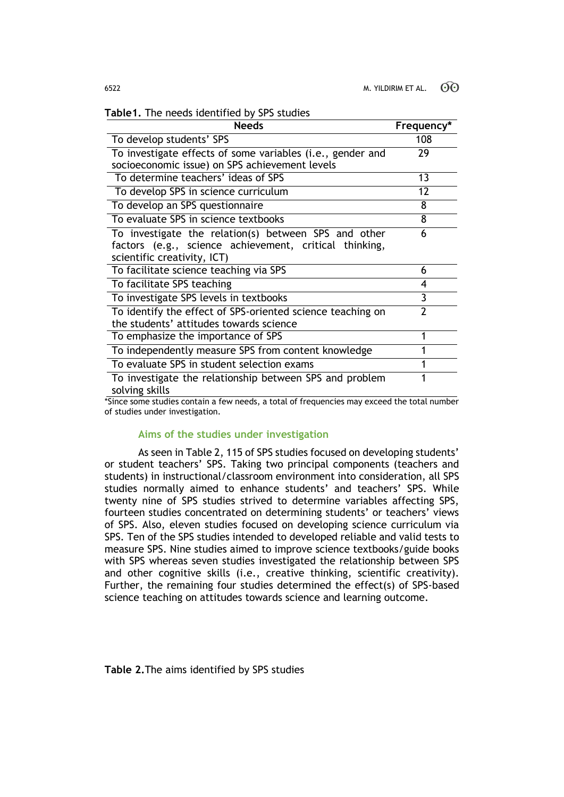| Table1. The needs identified by SPS studies |  |  |
|---------------------------------------------|--|--|
|                                             |  |  |

| <b>Needs</b>                                                              | Frequency*     |
|---------------------------------------------------------------------------|----------------|
| To develop students' SPS                                                  | 108            |
| To investigate effects of some variables (i.e., gender and                | 29             |
| socioeconomic issue) on SPS achievement levels                            |                |
| To determine teachers' ideas of SPS                                       | 13             |
| To develop SPS in science curriculum                                      | 12             |
| To develop an SPS questionnaire                                           | 8              |
| To evaluate SPS in science textbooks                                      | 8              |
| To investigate the relation(s) between SPS and other                      | 6              |
| factors (e.g., science achievement, critical thinking,                    |                |
| scientific creativity, ICT)                                               |                |
| To facilitate science teaching via SPS                                    | 6              |
| To facilitate SPS teaching                                                | 4              |
| To investigate SPS levels in textbooks                                    | 3              |
| To identify the effect of SPS-oriented science teaching on                | $\overline{2}$ |
| the students' attitudes towards science                                   |                |
| To emphasize the importance of SPS                                        | 1              |
| To independently measure SPS from content knowledge                       | 1              |
| To evaluate SPS in student selection exams                                | 1              |
| To investigate the relationship between SPS and problem<br>solving skills | 1              |

\*Since some studies contain a few needs, a total of frequencies may exceed the total number of studies under investigation.

#### **Aims of the studies under investigation**

As seen in Table 2, 115 of SPS studies focused on developing students' or student teachers' SPS. Taking two principal components (teachers and students) in instructional/classroom environment into consideration, all SPS studies normally aimed to enhance students' and teachers' SPS. While twenty nine of SPS studies strived to determine variables affecting SPS, fourteen studies concentrated on determining students' or teachers' views of SPS. Also, eleven studies focused on developing science curriculum via SPS. Ten of the SPS studies intended to developed reliable and valid tests to measure SPS. Nine studies aimed to improve science textbooks/guide books with SPS whereas seven studies investigated the relationship between SPS and other cognitive skills (i.e., creative thinking, scientific creativity). Further, the remaining four studies determined the effect(s) of SPS-based science teaching on attitudes towards science and learning outcome.

**Table 2.**The aims identified by SPS studies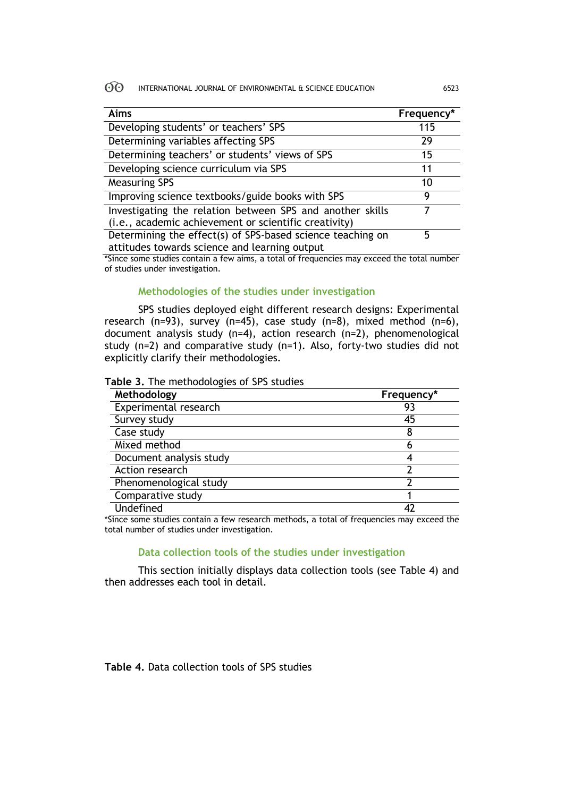| Aims                                                       | Frequency* |
|------------------------------------------------------------|------------|
| Developing students' or teachers' SPS                      | 115        |
| Determining variables affecting SPS                        | 29         |
| Determining teachers' or students' views of SPS            | 15         |
| Developing science curriculum via SPS                      | 11         |
| <b>Measuring SPS</b>                                       | 10         |
| Improving science textbooks/guide books with SPS           | 9          |
| Investigating the relation between SPS and another skills  |            |
| (i.e., academic achievement or scientific creativity)      |            |
| Determining the effect(s) of SPS-based science teaching on | 5          |
| attitudes towards science and learning output              |            |

\*Since some studies contain a few aims, a total of frequencies may exceed the total number of studies under investigation.

# **Methodologies of the studies under investigation**

SPS studies deployed eight different research designs: Experimental research (n=93), survey (n=45), case study (n=8), mixed method (n=6), document analysis study (n=4), action research (n=2), phenomenological study (n=2) and comparative study (n=1). Also, forty-two studies did not explicitly clarify their methodologies.

**Table 3.** The methodologies of SPS studies

| Methodology             | Frequency* |  |
|-------------------------|------------|--|
| Experimental research   | 93         |  |
| Survey study            | 45         |  |
| Case study              |            |  |
| Mixed method            | n          |  |
| Document analysis study |            |  |
| Action research         |            |  |
| Phenomenological study  |            |  |
| Comparative study       |            |  |
| Undefined               |            |  |

\*Since some studies contain a few research methods, a total of frequencies may exceed the total number of studies under investigation.

### **Data collection tools of the studies under investigation**

This section initially displays data collection tools (see Table 4) and then addresses each tool in detail.

**Table 4.** Data collection tools of SPS studies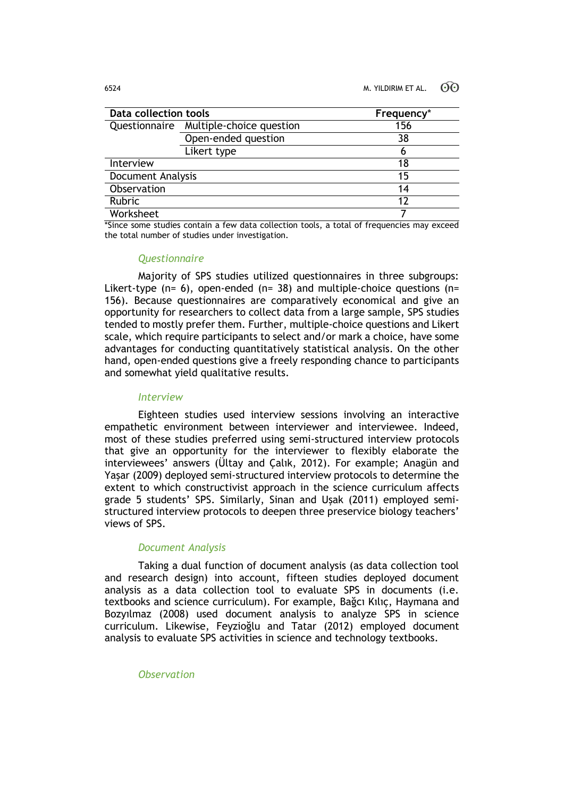| Data collection tools |                          | Frequency* |
|-----------------------|--------------------------|------------|
| Questionnaire         | Multiple-choice question | 156        |
|                       | Open-ended question      | 38         |
|                       | Likert type              | n          |
| Interview             |                          | 18         |
| Document Analysis     |                          | 15         |
| Observation           |                          | 14         |
| Rubric                |                          | 12         |
| Worksheet             |                          |            |

\*Since some studies contain a few data collection tools, a total of frequencies may exceed the total number of studies under investigation.

#### *Questionnaire*

Majority of SPS studies utilized questionnaires in three subgroups: Likert-type ( $n= 6$ ), open-ended ( $n= 38$ ) and multiple-choice questions ( $n=$ 156). Because questionnaires are comparatively economical and give an opportunity for researchers to collect data from a large sample, SPS studies tended to mostly prefer them. Further, multiple-choice questions and Likert scale, which require participants to select and/or mark a choice, have some advantages for conducting quantitatively statistical analysis. On the other hand, open-ended questions give a freely responding chance to participants and somewhat yield qualitative results.

#### *Interview*

Eighteen studies used interview sessions involving an interactive empathetic environment between interviewer and interviewee. Indeed, most of these studies preferred using semi-structured interview protocols that give an opportunity for the interviewer to flexibly elaborate the interviewees' answers (Ültay and Çalık, 2012). For example; Anagün and Yaşar (2009) deployed semi-structured interview protocols to determine the extent to which constructivist approach in the science curriculum affects grade 5 students' SPS. Similarly, Sinan and Uşak (2011) employed semistructured interview protocols to deepen three preservice biology teachers' views of SPS.

# *Document Analysis*

Taking a dual function of document analysis (as data collection tool and research design) into account, fifteen studies deployed document analysis as a data collection tool to evaluate SPS in documents (i.e. textbooks and science curriculum). For example, Bağcı Kılıç, Haymana and Bozyılmaz (2008) used document analysis to analyze SPS in science curriculum. Likewise, Feyzioğlu and Tatar (2012) employed document analysis to evaluate SPS activities in science and technology textbooks.

*Observation*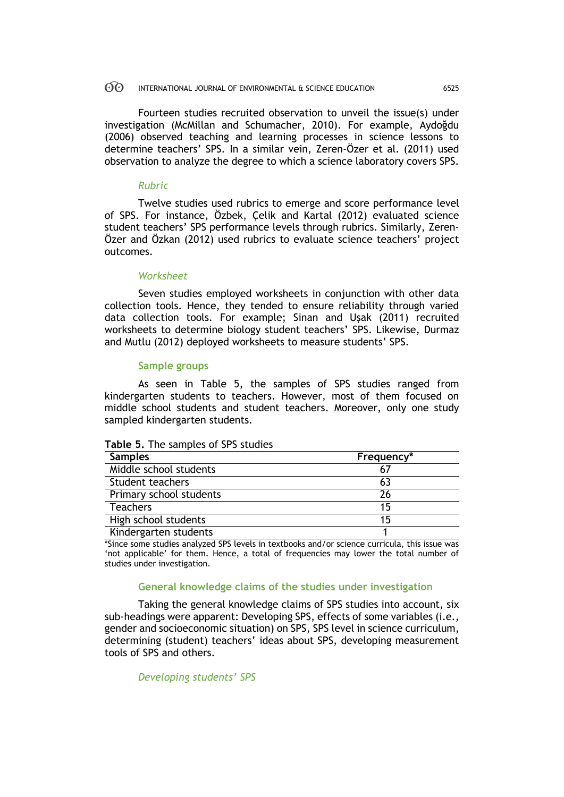Fourteen studies recruited observation to unveil the issue(s) under investigation (McMillan and Schumacher, 2010). For example, Aydoğdu (2006) observed teaching and learning processes in science lessons to determine teachers' SPS. In a similar vein, Zeren-Özer et al. (2011) used observation to analyze the degree to which a science laboratory covers SPS.

# *Rubric*

Twelve studies used rubrics to emerge and score performance level of SPS. For instance, Özbek, Çelik and Kartal (2012) evaluated science student teachers' SPS performance levels through rubrics. Similarly, Zeren-Özer and Özkan (2012) used rubrics to evaluate science teachers' project outcomes.

### *Worksheet*

Seven studies employed worksheets in conjunction with other data collection tools. Hence, they tended to ensure reliability through varied data collection tools. For example; Sinan and Uşak (2011) recruited worksheets to determine biology student teachers' SPS. Likewise, Durmaz and Mutlu (2012) deployed worksheets to measure students' SPS.

### **Sample groups**

As seen in Table 5, the samples of SPS studies ranged from kindergarten students to teachers. However, most of them focused on middle school students and student teachers. Moreover, only one study sampled kindergarten students.

#### **Table 5.** The samples of SPS studies

| <b>Samples</b>          | Frequency* |
|-------------------------|------------|
| Middle school students  |            |
| Student teachers        | 63         |
| Primary school students | 26         |
| <b>Teachers</b>         | 15         |
| High school students    | 15         |
| Kindergarten students   |            |

\*Since some studies analyzed SPS levels in textbooks and/or science curricula, this issue was 'not applicable' for them. Hence, a total of frequencies may lower the total number of studies under investigation.

# **General knowledge claims of the studies under investigation**

Taking the general knowledge claims of SPS studies into account, six sub-headings were apparent: Developing SPS, effects of some variables (i.e., gender and socioeconomic situation) on SPS, SPS level in science curriculum, determining (student) teachers' ideas about SPS, developing measurement tools of SPS and others.

*Developing students' SPS*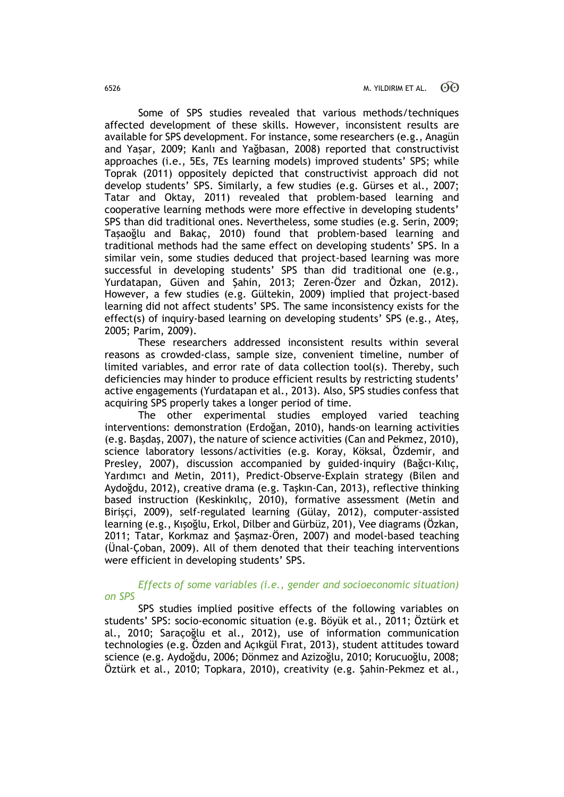Some of SPS studies revealed that various methods/techniques affected development of these skills. However, inconsistent results are available for SPS development. For instance, some researchers (e.g., Anagün and Yaşar, 2009; Kanlı and Yağbasan, 2008) reported that constructivist approaches (i.e., 5Es, 7Es learning models) improved students' SPS; while Toprak (2011) oppositely depicted that constructivist approach did not develop students' SPS. Similarly, a few studies (e.g. Gürses et al., 2007; Tatar and Oktay, 2011) revealed that problem-based learning and cooperative learning methods were more effective in developing students' SPS than did traditional ones. Nevertheless, some studies (e.g. Serin, 2009; Taşaoğlu and Bakaç, 2010) found that problem-based learning and traditional methods had the same effect on developing students' SPS. In a similar vein, some studies deduced that project-based learning was more successful in developing students' SPS than did traditional one (e.g., Yurdatapan, Güven and Şahin, 2013; Zeren-Özer and Özkan, 2012). However, a few studies (e.g. Gültekin, 2009) implied that project-based learning did not affect students' SPS. The same inconsistency exists for the effect(s) of inquiry-based learning on developing students' SPS (e.g., Ateş, 2005; Parim, 2009).

These researchers addressed inconsistent results within several reasons as crowded-class, sample size, convenient timeline, number of limited variables, and error rate of data collection tool(s). Thereby, such deficiencies may hinder to produce efficient results by restricting students' active engagements (Yurdatapan et al., 2013). Also, SPS studies confess that acquiring SPS properly takes a longer period of time.

The other experimental studies employed varied teaching interventions: demonstration (Erdoğan, 2010), hands-on learning activities (e.g. Başdaş, 2007), the nature of science activities (Can and Pekmez, 2010), science laboratory lessons/activities (e.g. Koray, Köksal, Özdemir, and Presley, 2007), discussion accompanied by guided-inquiry (Bağcı-Kılıç, Yardımcı and Metin, 2011), Predict-Observe-Explain strategy (Bilen and Aydoğdu, 2012), creative drama (e.g. Taşkın-Can, 2013), reflective thinking based instruction (Keskinkılıç, 2010), formative assessment (Metin and Birişçi, 2009), self-regulated learning (Gülay, 2012), computer-assisted learning (e.g., Kışoğlu, Erkol, Dilber and Gürbüz, 201), Vee diagrams (Özkan, 2011; Tatar, Korkmaz and Şaşmaz-Ören, 2007) and model-based teaching (Ünal-Çoban, 2009). All of them denoted that their teaching interventions were efficient in developing students' SPS.

### *Effects of some variables (i.e., gender and socioeconomic situation) on SPS*

SPS studies implied positive effects of the following variables on students' SPS: socio-economic situation (e.g. Böyük et al., 2011; Öztürk et al., 2010; Saraçoğlu et al., 2012), use of information communication technologies (e.g. Özden and Açıkgül Fırat, 2013), student attitudes toward science (e.g. Aydoğdu, 2006; Dönmez and Azizoğlu, 2010; Korucuoğlu, 2008; Öztürk et al., 2010; Topkara, 2010), creativity (e.g. Şahin-Pekmez et al.,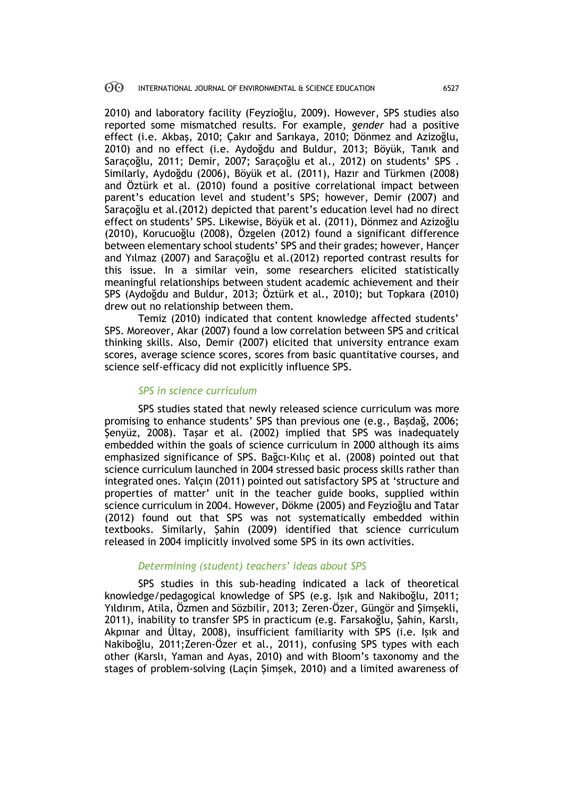2010) and laboratory facility (Feyzioğlu, 2009). However, SPS studies also reported some mismatched results. For example, *gender* had a positive effect (i.e. Akbaş, 2010; Çakır and Sarıkaya, 2010; Dönmez and Azizoğlu, 2010) and no effect (i.e. Aydoğdu and Buldur, 2013; Böyük, Tanık and Saraçoğlu, 2011; Demir, 2007; Saraçoğlu et al., 2012) on students' SPS . Similarly, Aydoğdu (2006), Böyük et al. (2011), Hazır and Türkmen (2008) and Öztürk et al. (2010) found a positive correlational impact between parent's education level and student's SPS; however, Demir (2007) and Saraçoğlu et al.(2012) depicted that parent's education level had no direct effect on students' SPS. Likewise, Böyük et al. (2011), Dönmez and Azizoğlu (2010), Korucuoğlu (2008), Özgelen (2012) found a significant difference between elementary school students' SPS and their grades; however, Hançer and Yılmaz (2007) and Saraçoğlu et al.(2012) reported contrast results for this issue. In a similar vein, some researchers elicited statistically meaningful relationships between student academic achievement and their SPS (Aydoğdu and Buldur, 2013; Öztürk et al., 2010); but Topkara (2010) drew out no relationship between them.

Temiz (2010) indicated that content knowledge affected students' SPS. Moreover, Akar (2007) found a low correlation between SPS and critical thinking skills. Also, Demir (2007) elicited that university entrance exam scores, average science scores, scores from basic quantitative courses, and science self-efficacy did not explicitly influence SPS.

### *SPS in science curriculum*

SPS studies stated that newly released science curriculum was more promising to enhance students' SPS than previous one (e.g., Başdağ, 2006; Şenyüz, 2008). Taşar et al. (2002) implied that SPS was inadequately embedded within the goals of science curriculum in 2000 although its aims emphasized significance of SPS. Bağcı-Kılıç et al. (2008) pointed out that science curriculum launched in 2004 stressed basic process skills rather than integrated ones. Yalçın (2011) pointed out satisfactory SPS at 'structure and properties of matter' unit in the teacher guide books, supplied within science curriculum in 2004. However, Dökme (2005) and Feyzioğlu and Tatar (2012) found out that SPS was not systematically embedded within textbooks. Similarly, Şahin (2009) identified that science curriculum released in 2004 implicitly involved some SPS in its own activities.

# *Determining (student) teachers' ideas about SPS*

SPS studies in this sub-heading indicated a lack of theoretical knowledge/pedagogical knowledge of SPS (e.g. Işık and Nakiboğlu, 2011; Yıldırım, Atila, Özmen and Sözbilir, 2013; Zeren-Özer, Güngör and Şimşekli, 2011), inability to transfer SPS in practicum (e.g. Farsakoğlu, Şahin, Karslı, Akpınar and Ültay, 2008), insufficient familiarity with SPS (i.e. Işık and Nakiboğlu, 2011;Zeren-Özer et al., 2011), confusing SPS types with each other (Karslı, Yaman and Ayas, 2010) and with Bloom's taxonomy and the stages of problem-solving (Laçin Şimşek, 2010) and a limited awareness of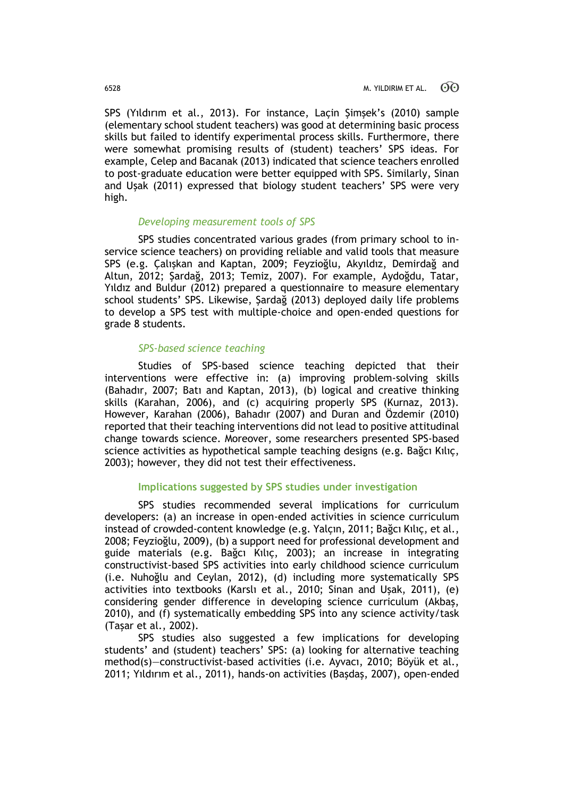SPS (Yıldırım et al., 2013). For instance, Laçin Şimşek's (2010) sample (elementary school student teachers) was good at determining basic process skills but failed to identify experimental process skills. Furthermore, there were somewhat promising results of (student) teachers' SPS ideas. For example, Celep and Bacanak (2013) indicated that science teachers enrolled to post-graduate education were better equipped with SPS. Similarly, Sinan and Uşak (2011) expressed that biology student teachers' SPS were very high.

### *Developing measurement tools of SPS*

SPS studies concentrated various grades (from primary school to inservice science teachers) on providing reliable and valid tools that measure SPS (e.g. Çalışkan and Kaptan, 2009; Feyzioğlu, Akyıldız, Demirdağ and Altun, 2012; Şardağ, 2013; Temiz, 2007). For example, Aydoğdu, Tatar, Yıldız and Buldur (2012) prepared a questionnaire to measure elementary school students' SPS. Likewise, Şardağ (2013) deployed daily life problems to develop a SPS test with multiple-choice and open-ended questions for grade 8 students.

#### *SPS-based science teaching*

Studies of SPS-based science teaching depicted that their interventions were effective in: (a) improving problem-solving skills (Bahadır, 2007; Batı and Kaptan, 2013), (b) logical and creative thinking skills (Karahan, 2006), and (c) acquiring properly SPS (Kurnaz, 2013). However, Karahan (2006), Bahadır (2007) and Duran and Özdemir (2010) reported that their teaching interventions did not lead to positive attitudinal change towards science. Moreover, some researchers presented SPS-based science activities as hypothetical sample teaching designs (e.g. Bağcı Kılıç, 2003); however, they did not test their effectiveness.

## **Implications suggested by SPS studies under investigation**

SPS studies recommended several implications for curriculum developers: (a) an increase in open-ended activities in science curriculum instead of crowded-content knowledge (e.g. Yalçın, 2011; Bağcı Kılıç, et al., 2008; Feyzioğlu, 2009), (b) a support need for professional development and guide materials (e.g. Bağcı Kılıç, 2003); an increase in integrating constructivist-based SPS activities into early childhood science curriculum (i.e. Nuhoğlu and Ceylan, 2012), (d) including more systematically SPS activities into textbooks (Karslı et al., 2010; Sinan and Uşak, 2011), (e) considering gender difference in developing science curriculum (Akbaş, 2010), and (f) systematically embedding SPS into any science activity/task (Taşar et al., 2002).

SPS studies also suggested a few implications for developing students' and (student) teachers' SPS: (a) looking for alternative teaching method(s)—constructivist-based activities (i.e. Ayvacı, 2010; Böyük et al., 2011; Yıldırım et al., 2011), hands-on activities (Başdaş, 2007), open-ended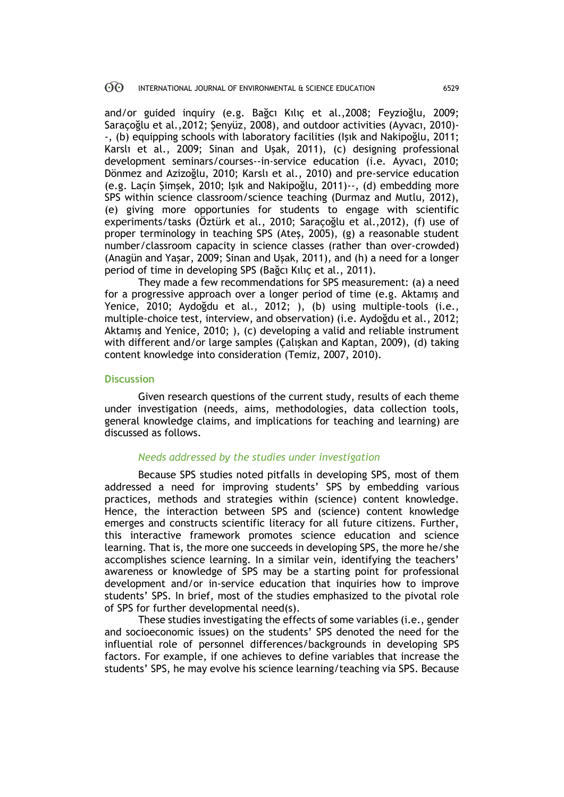and/or guided inquiry (e.g. Bağcı Kılıç et al.,2008; Feyzioğlu, 2009; Saraçoğlu et al.,2012; Şenyüz, 2008), and outdoor activities (Ayvacı, 2010)- -, (b) equipping schools with laboratory facilities (Işık and Nakipoğlu, 2011; Karslı et al., 2009; Sinan and Uşak, 2011), (c) designing professional development seminars/courses--in-service education (i.e. Ayvacı, 2010; Dönmez and Azizoğlu, 2010; Karslı et al., 2010) and pre-service education (e.g. Laçin Şimşek, 2010; Işık and Nakipoğlu, 2011)--, (d) embedding more SPS within science classroom/science teaching (Durmaz and Mutlu, 2012), (e) giving more opportunies for students to engage with scientific experiments/tasks (Öztürk et al., 2010; Saraçoğlu et al.,2012), (f) use of proper terminology in teaching SPS (Ateş, 2005), (g) a reasonable student number/classroom capacity in science classes (rather than over-crowded) (Anagün and Yaşar, 2009; Sinan and Uşak, 2011), and (h) a need for a longer period of time in developing SPS (Bağcı Kılıç et al., 2011).

They made a few recommendations for SPS measurement: (a) a need for a progressive approach over a longer period of time (e.g. Aktamış and Yenice, 2010; Aydoğdu et al., 2012; ), (b) using multiple-tools (i.e., multiple-choice test, interview, and observation) (i.e. Aydoğdu et al., 2012; Aktamış and Yenice, 2010; ), (c) developing a valid and reliable instrument with different and/or large samples (Çalışkan and Kaptan, 2009), (d) taking content knowledge into consideration (Temiz, 2007, 2010).

### **Discussion**

Given research questions of the current study, results of each theme under investigation (needs, aims, methodologies, data collection tools, general knowledge claims, and implications for teaching and learning) are discussed as follows.

### *Needs addressed by the studies under investigation*

Because SPS studies noted pitfalls in developing SPS, most of them addressed a need for improving students' SPS by embedding various practices, methods and strategies within (science) content knowledge. Hence, the interaction between SPS and (science) content knowledge emerges and constructs scientific literacy for all future citizens. Further, this interactive framework promotes science education and science learning. That is, the more one succeeds in developing SPS, the more he/she accomplishes science learning. In a similar vein, identifying the teachers' awareness or knowledge of SPS may be a starting point for professional development and/or in-service education that inquiries how to improve students' SPS. In brief, most of the studies emphasized to the pivotal role of SPS for further developmental need(s).

These studies investigating the effects of some variables (i.e., gender and socioeconomic issues) on the students' SPS denoted the need for the influential role of personnel differences/backgrounds in developing SPS factors. For example, if one achieves to define variables that increase the students' SPS, he may evolve his science learning/teaching via SPS. Because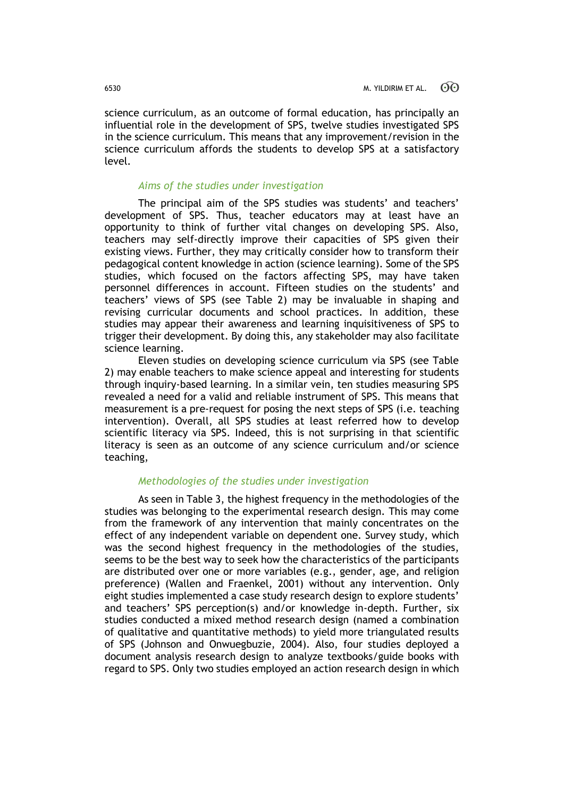science curriculum, as an outcome of formal education, has principally an influential role in the development of SPS, twelve studies investigated SPS in the science curriculum. This means that any improvement/revision in the science curriculum affords the students to develop SPS at a satisfactory level.

## *Aims of the studies under investigation*

The principal aim of the SPS studies was students' and teachers' development of SPS. Thus, teacher educators may at least have an opportunity to think of further vital changes on developing SPS. Also, teachers may self-directly improve their capacities of SPS given their existing views. Further, they may critically consider how to transform their pedagogical content knowledge in action (science learning). Some of the SPS studies, which focused on the factors affecting SPS, may have taken personnel differences in account. Fifteen studies on the students' and teachers' views of SPS (see Table 2) may be invaluable in shaping and revising curricular documents and school practices. In addition, these studies may appear their awareness and learning inquisitiveness of SPS to trigger their development. By doing this, any stakeholder may also facilitate science learning.

Eleven studies on developing science curriculum via SPS (see Table 2) may enable teachers to make science appeal and interesting for students through inquiry-based learning. In a similar vein, ten studies measuring SPS revealed a need for a valid and reliable instrument of SPS. This means that measurement is a pre-request for posing the next steps of SPS (i.e. teaching intervention). Overall, all SPS studies at least referred how to develop scientific literacy via SPS. Indeed, this is not surprising in that scientific literacy is seen as an outcome of any science curriculum and/or science teaching,

# *Methodologies of the studies under investigation*

As seen in Table 3, the highest frequency in the methodologies of the studies was belonging to the experimental research design. This may come from the framework of any intervention that mainly concentrates on the effect of any independent variable on dependent one. Survey study, which was the second highest frequency in the methodologies of the studies, seems to be the best way to seek how the characteristics of the participants are distributed over one or more variables (e.g., gender, age, and religion preference) (Wallen and Fraenkel, 2001) without any intervention. Only eight studies implemented a case study research design to explore students' and teachers' SPS perception(s) and/or knowledge in-depth. Further, six studies conducted a mixed method research design (named a combination of qualitative and quantitative methods) to yield more triangulated results of SPS (Johnson and Onwuegbuzie, 2004). Also, four studies deployed a document analysis research design to analyze textbooks/guide books with regard to SPS. Only two studies employed an action research design in which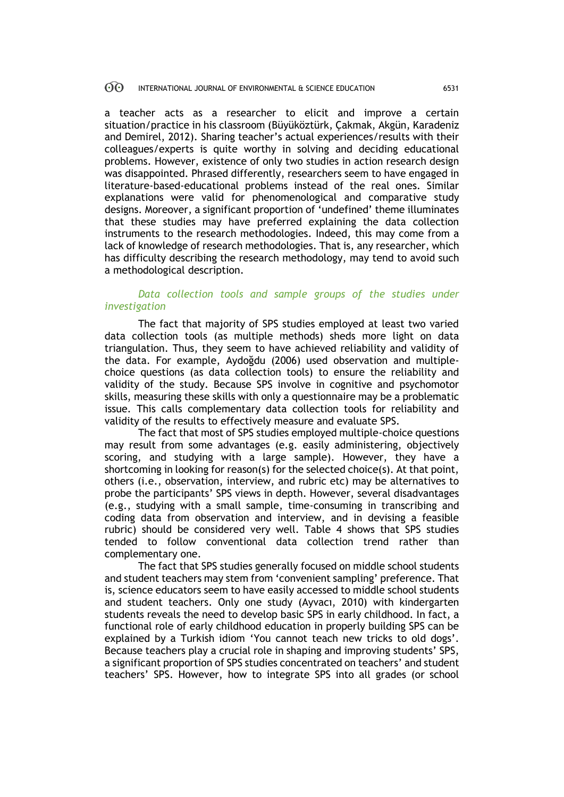a teacher acts as a researcher to elicit and improve a certain situation/practice in his classroom (Büyüköztürk, Çakmak, Akgün, Karadeniz and Demirel, 2012). Sharing teacher's actual experiences/results with their colleagues/experts is quite worthy in solving and deciding educational problems. However, existence of only two studies in action research design was disappointed. Phrased differently, researchers seem to have engaged in literature-based-educational problems instead of the real ones. Similar explanations were valid for phenomenological and comparative study designs. Moreover, a significant proportion of 'undefined' theme illuminates that these studies may have preferred explaining the data collection instruments to the research methodologies. Indeed, this may come from a lack of knowledge of research methodologies. That is, any researcher, which has difficulty describing the research methodology, may tend to avoid such a methodological description.

# *Data collection tools and sample groups of the studies under investigation*

The fact that majority of SPS studies employed at least two varied data collection tools (as multiple methods) sheds more light on data triangulation. Thus, they seem to have achieved reliability and validity of the data. For example, Aydoğdu (2006) used observation and multiplechoice questions (as data collection tools) to ensure the reliability and validity of the study. Because SPS involve in cognitive and psychomotor skills, measuring these skills with only a questionnaire may be a problematic issue. This calls complementary data collection tools for reliability and validity of the results to effectively measure and evaluate SPS.

The fact that most of SPS studies employed multiple-choice questions may result from some advantages (e.g. easily administering, objectively scoring, and studying with a large sample). However, they have a shortcoming in looking for reason(s) for the selected choice(s). At that point, others (i.e., observation, interview, and rubric etc) may be alternatives to probe the participants' SPS views in depth. However, several disadvantages (e.g., studying with a small sample, time-consuming in transcribing and coding data from observation and interview, and in devising a feasible rubric) should be considered very well. Table 4 shows that SPS studies tended to follow conventional data collection trend rather than complementary one.

The fact that SPS studies generally focused on middle school students and student teachers may stem from 'convenient sampling' preference. That is, science educators seem to have easily accessed to middle school students and student teachers. Only one study (Ayvacı, 2010) with kindergarten students reveals the need to develop basic SPS in early childhood. In fact, a functional role of early childhood education in properly building SPS can be explained by a Turkish idiom 'You cannot teach new tricks to old dogs'. Because teachers play a crucial role in shaping and improving students' SPS, a significant proportion of SPS studies concentrated on teachers' and student teachers' SPS. However, how to integrate SPS into all grades (or school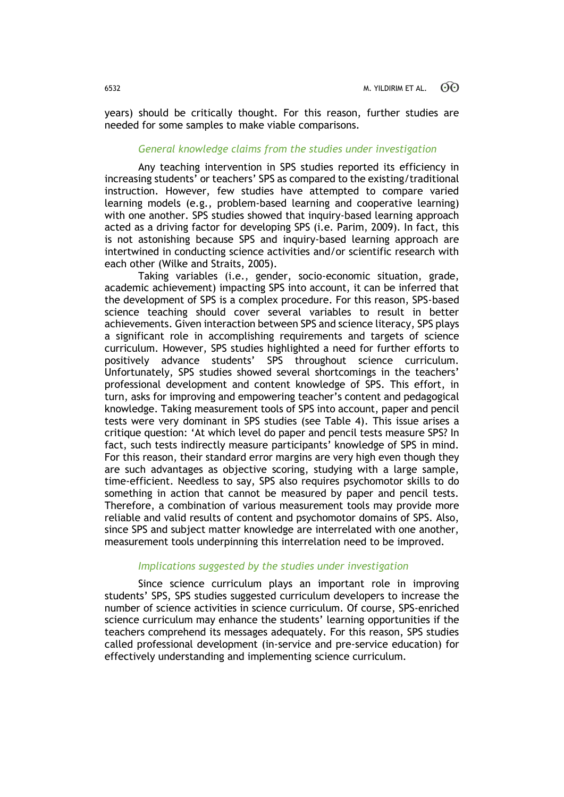years) should be critically thought. For this reason, further studies are needed for some samples to make viable comparisons.

#### *General knowledge claims from the studies under investigation*

Any teaching intervention in SPS studies reported its efficiency in increasing students' or teachers' SPS as compared to the existing/traditional instruction. However, few studies have attempted to compare varied learning models (e.g., problem-based learning and cooperative learning) with one another. SPS studies showed that inquiry-based learning approach acted as a driving factor for developing SPS (i.e. Parim, 2009). In fact, this is not astonishing because SPS and inquiry-based learning approach are intertwined in conducting science activities and/or scientific research with each other (Wilke and Straits, 2005).

Taking variables (i.e., gender, socio-economic situation, grade, academic achievement) impacting SPS into account, it can be inferred that the development of SPS is a complex procedure. For this reason, SPS-based science teaching should cover several variables to result in better achievements. Given interaction between SPS and science literacy, SPS plays a significant role in accomplishing requirements and targets of science curriculum. However, SPS studies highlighted a need for further efforts to positively advance students' SPS throughout science curriculum. Unfortunately, SPS studies showed several shortcomings in the teachers' professional development and content knowledge of SPS. This effort, in turn, asks for improving and empowering teacher's content and pedagogical knowledge. Taking measurement tools of SPS into account, paper and pencil tests were very dominant in SPS studies (see Table 4). This issue arises a critique question: 'At which level do paper and pencil tests measure SPS? In fact, such tests indirectly measure participants' knowledge of SPS in mind. For this reason, their standard error margins are very high even though they are such advantages as objective scoring, studying with a large sample, time-efficient. Needless to say, SPS also requires psychomotor skills to do something in action that cannot be measured by paper and pencil tests. Therefore, a combination of various measurement tools may provide more reliable and valid results of content and psychomotor domains of SPS. Also, since SPS and subject matter knowledge are interrelated with one another, measurement tools underpinning this interrelation need to be improved.

#### *Implications suggested by the studies under investigation*

Since science curriculum plays an important role in improving students' SPS, SPS studies suggested curriculum developers to increase the number of science activities in science curriculum. Of course, SPS-enriched science curriculum may enhance the students' learning opportunities if the teachers comprehend its messages adequately. For this reason, SPS studies called professional development (in-service and pre-service education) for effectively understanding and implementing science curriculum.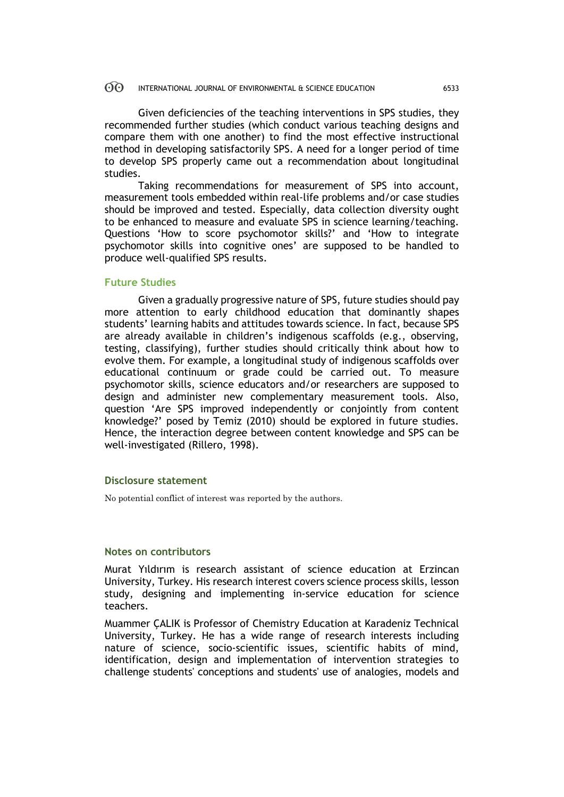Given deficiencies of the teaching interventions in SPS studies, they recommended further studies (which conduct various teaching designs and compare them with one another) to find the most effective instructional method in developing satisfactorily SPS. A need for a longer period of time to develop SPS properly came out a recommendation about longitudinal studies.

Taking recommendations for measurement of SPS into account, measurement tools embedded within real-life problems and/or case studies should be improved and tested. Especially, data collection diversity ought to be enhanced to measure and evaluate SPS in science learning/teaching. Questions 'How to score psychomotor skills?' and 'How to integrate psychomotor skills into cognitive ones' are supposed to be handled to produce well-qualified SPS results.

#### **Future Studies**

Given a gradually progressive nature of SPS, future studies should pay more attention to early childhood education that dominantly shapes students' learning habits and attitudes towards science. In fact, because SPS are already available in children's indigenous scaffolds (e.g., observing, testing, classifying), further studies should critically think about how to evolve them. For example, a longitudinal study of indigenous scaffolds over educational continuum or grade could be carried out. To measure psychomotor skills, science educators and/or researchers are supposed to design and administer new complementary measurement tools. Also, question 'Are SPS improved independently or conjointly from content knowledge?' posed by Temiz (2010) should be explored in future studies. Hence, the interaction degree between content knowledge and SPS can be well-investigated (Rillero, 1998).

#### **Disclosure statement**

No potential conflict of interest was reported by the authors.

#### **Notes on contributors**

Murat Yıldırım is research assistant of science education at Erzincan University, Turkey. His research interest covers science process skills, lesson study, designing and implementing in-service education for science teachers.

Muammer ÇALIK is Professor of Chemistry Education at Karadeniz Technical University, Turkey. He has a wide range of research interests including nature of science, socio-scientific issues, scientific habits of mind, identification, design and implementation of intervention strategies to challenge students' conceptions and students' use of analogies, models and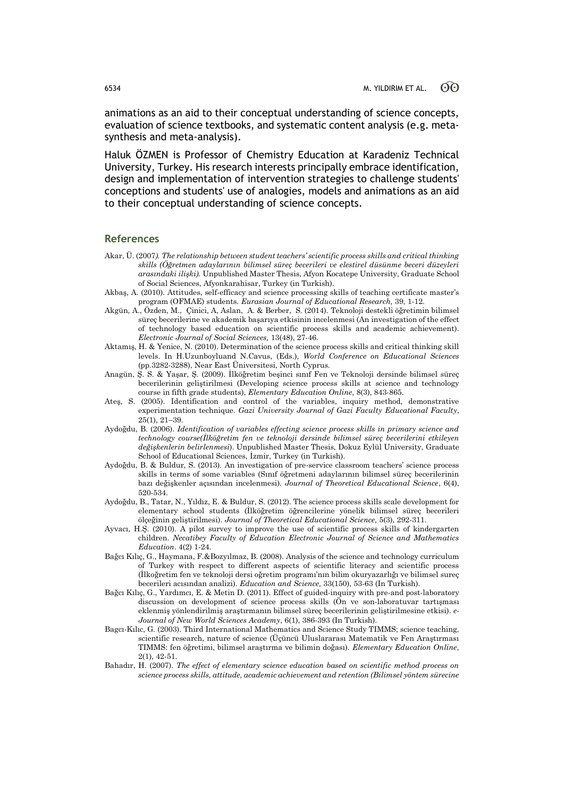animations as an aid to their conceptual understanding of science concepts, evaluation of science textbooks, and systematic content analysis (e.g. metasynthesis and meta-analysis).

Haluk ÖZMEN is Professor of Chemistry Education at Karadeniz Technical University, Turkey. His research interests principally embrace identification, design and implementation of intervention strategies to challenge students' conceptions and students' use of analogies, models and animations as an aid to their conceptual understanding of science concepts.

#### **References**

- Akar, Ü. (2007*). The relationship between student teachers' scientific process skills and critical thinking skills (Öğretmen adaylarının bilimsel süreç becerileri ve elestirel düsünme beceri düzeyleri arasındaki ilişki).* Unpublished Master Thesis, Afyon Kocatepe University, Graduate School of Social Sciences, Afyonkarahisar, Turkey (in Turkish).
- Akbaş, A. (2010). Attitudes, self-efficacy and science processing skills of teaching certificate master's program (OFMAE) students. *Eurasian Journal of Educational Research,* 39, 1-12.
- Akgün, A., Özden, M., Çinici, A, Aslan, A. & Berber, S. (2014). Teknoloji destekli öğretimin bilimsel süreç becerilerine ve akademik başarıya etkisinin incelenmesi (An investigation of the effect of technology based education on scientific process skills and academic achievement). *Electronic Journal of Social Sciences,* 13(48), 27-46.
- Aktamış, H. & Yenice, N. (2010). Determination of the science process skills and critical thinking skill levels. In H.Uzunboyluand N.Cavus, (Eds.), *World Conference on Educational Sciences* (pp.3282-3288), Near East Üniversitesi, North Cyprus.
- Anagün, Ş. S. & Yaşar, Ş. (2009). İlköğretim beşinci sınıf Fen ve Teknoloji dersinde bilimsel süreç becerilerinin geliştirilmesi (Developing science process skills at science and technology course in fifth grade students), *Elementary Education Online*, 8(3), 843-865.
- Ateş, S. (2005). Identification and control of the variables, inquiry method, demonstrative experimentation technique. *Gazi University Journal of Gazi Faculty Educational Faculty*, 25(1), 21–39.
- Aydoğdu, B. (2006). *Identification of variables effecting science process skills in primary science and technology course(İlköğretim fen ve teknoloji dersinde bilimsel süreç becerilerini etkileyen değişkenlerin belirlenmesi*). Unpublished Master Thesis, Dokuz Eylül University, Graduate School of Educational Sciences, İzmir, Turkey (in Turkish).
- Aydoğdu, B. & Buldur, S. (2013). An investigation of pre-service classroom teachers' science process skills in terms of some variables (Sınıf öğretmeni adaylarının bilimsel süreç becerilerinin bazı değişkenler açısından incelenmesi). *Journal of Theoretical Educational Science*, 6(4), 520-534.
- Aydoğdu, B., Tatar, N., Yıldız, E. & Buldur, S. (2012). The science process skills scale development for elementary school students (İlköğretim öğrencilerine yönelik bilimsel süreç becerileri ölçeğinin geliştirilmesi). *Journal of Theoretical Educational Science,* 5(3), 292-311.
- Ayvacı, H.Ş. (2010). A pilot survey to improve the use of scientific process skills of kindergarten children. *Necatibey Faculty of Education Electronic Journal of Science and Mathematics Education*. 4(2) 1-24.
- Bağcı Kılıç, G., Haymana, F.&Bozyılmaz, B. (2008). Analysis of the science and technology curriculum of Turkey with respect to different aspects of scientific literacy and scientific process (İlkoğretim fen ve teknoloji dersi oğretim programı'nın bilim okuryazarlığı ve bilimsel sureç becerileri acısından analizi). *Education and Science,* 33(150), 53-63 (In Turkish).
- Bağcı Kılıç, G., Yardımcı, E. & Metin D. (2011). Effect of guided-inquiry with pre-and post-laboratory discussion on development of science process skills (Ön ve son-laboratuvar tartışması eklenmiş yönlendirilmiş araştırmanın bilimsel süreç becerilerinin geliştirilmesine etkisi). *e-Journal of New World Sciences Academy*, 6(1), 386-393 (In Turkish).
- Bagcı-Kılıc, G. (2003). Third International Mathematics and Science Study TIMMS; science teaching, scientific research, nature of science (Üçüncü Uluslararası Matematik ve Fen Araştırması TIMMS: fen öğretimi, bilimsel araştırma ve bilimin doğası). *Elementary Education Online*, 2(1), 42-51.
- Bahadır, H. (2007). *The effect of elementary science education based on scientific method process on science process skills, attitude, academic achievement and retention (Bilimsel yöntem sürecine*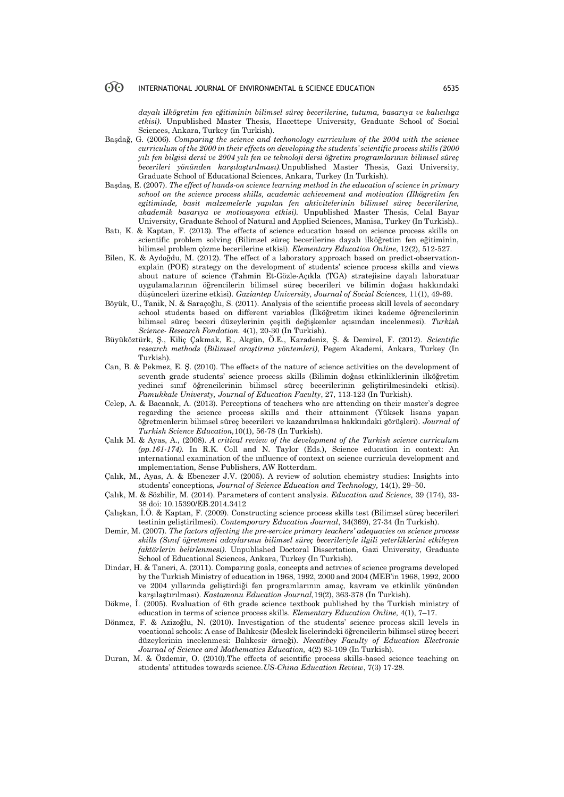*dayalı* i*lkö*g*retim fen eğitiminin bilimsel süreç becerilerine, tutuma, ba*s*arıya ve kalıcılı*g*a etkisi)*. Unpublished Master Thesis, Hacettepe University, Graduate School of Social Sciences, Ankara, Turkey (in Turkish).

- Başdağ, G. (2006). *Comparing the science and techonology curriculum of the 2004 with the science curriculum of the 2000 in their effects on developing the students' scientific process skills (2000 yılı fen bilgisi dersi ve 2004 yılı fen ve teknoloji dersi öğretim programlarının bilimsel süreç becerileri yönünden karşılaştırılması).*Unpublished Master Thesis, Gazi University, Graduate School of Educational Sciences, Ankara, Turkey (In Turkish)*.*
- Başdaş, E. (2007). *The effect of hands-on science learning method in the education of science in primary school on the science process skills, academic achievement and motivation (İlkögretim fen egitiminde, basit malzemelerle yapılan fen aktivitelerinin bilimsel süreç becerilerine, akademik basarıya ve motivasyona etkisi).* Unpublished Master Thesis, Celal Bayar University, Graduate School of Natural and Applied Sciences, Manisa, Turkey (In Turkish)..
- Batı, K. & Kaptan, F. (2013). The effects of science education based on science process skills on scientific problem solving (Bilimsel süreç becerilerine dayalı ilköğretim fen eğitiminin, bilimsel problem çözme becerilerine etkisi). *Elementary Education Online*, 12(2), 512-527.
- Bilen, K. & Aydoğdu, M. (2012). The effect of a laboratory approach based on predict-observationexplain (POE) strategy on the development of students' science process skills and views about nature of science (Tahmin Et-Gözle-Açıkla (TGA) stratejisine dayalı laboratuar uygulamalarının öğrencilerin bilimsel süreç becerileri ve bilimin doğası hakkındaki düşünceleri üzerine etkisi). *Gaziantep University, Journal of Social Sciences,* 11(1), 49-69.
- Böyük, U., Tanik, N. & Saraçoğlu, S. (2011). Analysis of the scientific process skill levels of secondary school students based on different variables (İlköğretim ikinci kademe öğrencilerinin bilimsel süreç beceri düzeylerinin çeşitli değişkenler açısından incelenmesi). *Turkish Science- Research Fondation.* 4(1), 20-30 (In Turkish).
- Büyüköztürk, Ş., Kiliç Çakmak, E., Akgün, Ö.E., Karadeniz, Ş. & Demirel, F. (2012). *Scientific research methods* (*Bilimsel araştirma yöntemleri)*, Pegem Akademi, Ankara, Turkey (In Turkish).
- Can, B. & Pekmez, E. Ş. (2010). The effects of the nature of science activities on the development of seventh grade students' science process skills (Bilimin doğası etkinliklerinin ilköğretim yedinci sınıf öğrencilerinin bilimsel süreç becerilerinin geliştirilmesindeki etkisi). *Pamukkale Universty, Journal of Education Faculty*, 27, 113-123 (In Turkish).
- Celep, A. & Bacanak, A. (2013). Perceptions of teachers who are attending on their master's degree regarding the science process skills and their attainment (Yüksek lisans yapan öğretmenlerin bilimsel süreç becerileri ve kazandırılması hakkındaki görüşleri). *Journal of Turkish Science Education,*10(1), 56-78 (In Turkish).
- Çalık M. & Ayas, A., (2008). *A critical review of the development of the Turkish science curriculum (pp.161-174).* In R.K. Coll and N. Taylor (Eds.), Science education in context: An ınternational examination of the ınfluence of context on science curricula development and ımplementation, Sense Publishers, AW Rotterdam.
- Çalık, M., Ayas, A. & Ebenezer J.V. (2005). A review of solution chemistry studies: Insights into students' conceptions, *Journal of Science Education and Technology,* 14(1), 29–50.
- Çalık, M. & Sözbilir, M. (2014). Parameters of content analysis. *Education and Science,* 39 (174), 33- 38 doi: 10.15390/EB.2014.3412
- Çalışkan, İ.Ö. & Kaptan, F. (2009). Constructing science process skills test (Bilimsel süreç becerileri testinin geliştirilmesi). *Contemporary Education Journal*, 34(369), 27-34 (In Turkish).
- Demir, M. (2007). *The factors affecting the pre-service primary teachers' adequacies on science process skills (Sınıf öğretmeni adaylarının bilimsel süreç becerileriyle ilgili yeterliklerini etkileyen faktörlerin belirlenmesi)*. Unpublished Doctoral Dissertation, Gazi University, Graduate School of Educational Sciences, Ankara, Turkey (In Turkish).
- Dindar, H. & Taneri, A. (2011). Comparıng goals, concepts and actıvıes of science programs developed by the Turkish Ministry of education in 1968, 1992, 2000 and 2004 (MEB'in 1968, 1992, 2000 ve 2004 yıllarında geliştirdiği fen programlarının amaç, kavram ve etkinlik yönünden karşılaştırılması). *Kastamonu Education Journal,*19(2), 363-378 (In Turkish).
- Dökme, İ. (2005). Evaluation of 6th grade science textbook published by the Turkish ministry of education in terms of science process skills. *Elementary Education Online,* 4(1), 7–17.
- Dönmez, F. & Azizoğlu, N. (2010). Investigation of the students' science process skill levels in vocational schools: A case of Balıkesir (Meslek liselerindeki öğrencilerin bilimsel süreç beceri düzeylerinin incelenmesi: Balıkesir örneği). *Necatibey Faculty of Education Electronic Journal of Science and Mathematics Education,* 4(2) 83-109 (In Turkish).
- Duran, M. & Özdemir, O. (2010).The effects of scientific process skills-based science teaching on students' attitudes towards science.*US-China Education Review*, 7(3) 17-28.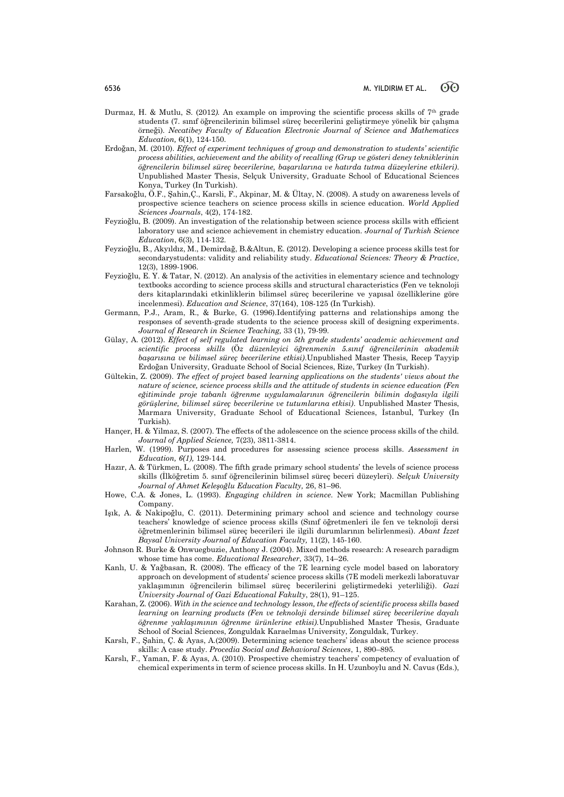- Durmaz, H. & Mutlu, S. (2012*).* An example on improving the scientific process skills of 7th grade students (7. sınıf öğrencilerinin bilimsel süreç becerilerini geliştirmeye yönelik bir çalışma örneği)*. Necatibey Faculty of Education Electronic Journal of Science and Mathematiccs Education,* 6(1), 124-150.
- Erdoğan, M. (2010). *Effect of experiment techniques of group and demonstration to students' scientific process abilities, achievement and the ability of recalling (Grup ve gösteri deney tekniklerinin öğrencilerin bilimsel süreç becerilerine, başarılarına ve hatırda tutma düzeylerine etkileri)*. Unpublished Master Thesis, Selçuk University, Graduate School of Educational Sciences Konya, Turkey (In Turkish).
- Farsakoğlu, Ö.F., Şahin,Ç., Karsli, F., Akpinar, M. & Ültay, N. (2008). A study on awareness levels of prospective science teachers on science process skills in science education. *World Applied Sciences Journals*, 4(2), 174-182.
- Feyzioğlu, B. (2009). An investigation of the relationship between science process skills with efficient laboratory use and science achievement in chemistry education. *Journal of Turkish Science Education*, 6(3), 114-132.
- Feyzioğlu, B., Akyıldız, M., Demirdağ, B.&Altun, E. (2012). Developing a science process skills test for secondarystudents: validity and reliability study. *Educational Sciences: Theory & Practice*, 12(3), 1899-1906.
- Feyzioğlu, E. Y. & Tatar, N. (2012). An analysis of the activities in elementary science and technology textbooks according to science process skills and structural characteristics (Fen ve teknoloji ders kitaplarındaki etkinliklerin bilimsel süreç becerilerine ve yapısal özelliklerine göre incelenmesi). *Education and Science*, 37(164), 108-125 (In Turkish).
- Germann, P.J., Aram, R., & Burke, G. (1996).Identifying patterns and relationships among the responses of seventh-grade students to the science process skill of designing experiments. *Journal of Research in Science Teaching,* 33 (1), 79-99.
- Gülay, A. (2012). *Effect of self regulated learning on 5th grade students' academic achievement and scientific process skills* (Ö*z düzenleyici öğrenmenin 5.sınıf öğrencilerinin akademik başarısına ve bilimsel süreç becerilerine etkisi)*.Unpublished Master Thesis, Recep Tayyip Erdoğan University, Graduate School of Social Sciences, Rize, Turkey (In Turkish).
- Gültekin, Z. (2009). *The effect of project based learning applications on the students' views about the nature of science, science process skills and the attitude of students in science education (Fen eğitiminde proje tabanlı öğrenme uygulamalarının öğrencilerin bilimin doğasıyla ilgili görüşlerine, bilimsel süreç becerilerine ve tutumlarına etkisi)*. Unpublished Master Thesis, Marmara University, Graduate School of Educational Sciences, İstanbul, Turkey (In Turkish).
- Hançer, H. & Yilmaz, S. (2007). The effects of the adolescence on the science process skills of the child. *Journal of Applied Science,* 7(23), 3811-3814.
- Harlen, W. (1999). Purposes and procedures for assessing science process skills. *Assessment in Education, 6(1),* 129-144*.*
- Hazır, A. & Türkmen, L. (2008). The fifth grade primary school students' the levels of science process skills (İlköğretim 5. sınıf öğrencilerinin bilimsel süreç beceri düzeyleri). *Selçuk University Journal of Ahmet Keleşoğlu Education Faculty,* 26, 81–96.
- Howe, C.A. & Jones, L. (1993). *Engaging children in science*. New York; Macmillan Publishing Company.
- Işık, A. & Nakipoğlu, C. (2011). Determining primary school and science and technology course teachers' knowledge of science process skills (Sınıf öğretmenleri ile fen ve teknoloji dersi öğretmenlerinin bilimsel süreç becerileri ile ilgili durumlarının belirlenmesi). *Abant İzzet Baysal University Journal of Education Faculty,* 11(2), 145-160.
- Johnson R. Burke & Onwuegbuzie, Anthony J. (2004). Mixed methods research: A research paradigm whose time has come. *Educational Researcher*, 33(7), 14–26.
- Kanlı, U. & Yağbasan, R. (2008). The efficacy of the 7E learning cycle model based on laboratory approach on development of students' science process skills (7E modeli merkezli laboratuvar yaklaşımının öğrencilerin bilimsel süreç becerilerini geliştirmedeki yeterliliği). *Gazi University Journal of Gazi Educational Fakulty*, 28(1), 91–125.
- Karahan, Z. (2006). *With in the science and technology lesson, the effects of scientific process skills based learning on learning products (Fen ve teknoloji dersinde bilimsel süreç becerilerine dayalı öğrenme yaklaşımının öğrenme ürünlerine etkisi).*Unpublished Master Thesis, Graduate School of Social Sciences, Zonguldak Karaelmas University, Zonguldak, Turkey.
- Karslı, F., Şahin, Ç. & Ayas, A.(2009). Determining science teachers' ideas about the science process skills: A case study. *Procedia Social and Behavioral Sciences*, 1, 890–895.
- Karslı, F., Yaman, F. & Ayas, A. (2010). Prospective chemistry teachers' competency of evaluation of chemical experiments in term of science process skills. In H. Uzunboylu and N. Cavus (Eds.),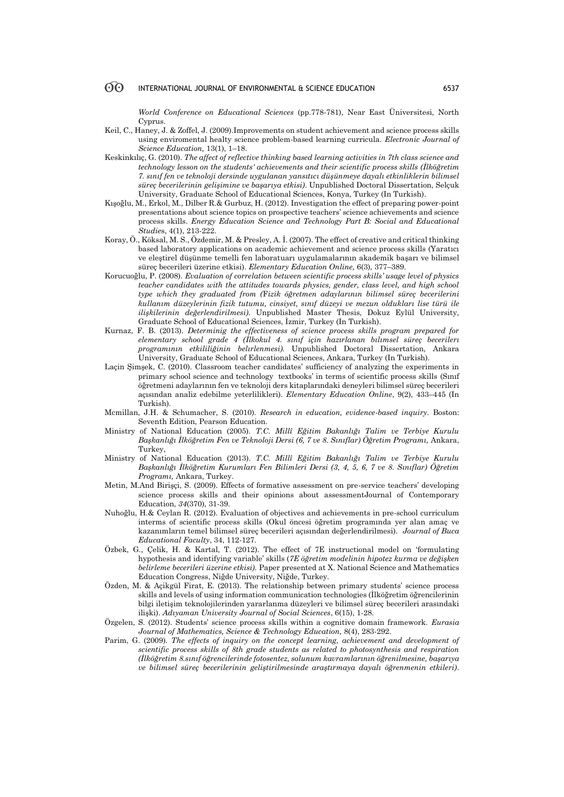*World Conference on Educational Sciences* (pp.778-781), Near East Üniversitesi, North Cyprus.

- Keil, C., Haney, J. & Zoffel, J. (2009).Improvements on student achievement and science process skills using enviromental healty science problem-based learning curricula. *Electronic Journal of Science Education,* 13(1), 1–18.
- Keskinkılıç, G. (2010). *The affect of reflective thinking based learning activities in 7th class science and technology lesson on the students' achievements and their scientific process skills (İlköğretim 7. sınıf fen ve teknoloji dersinde uygulanan yansıtıcı düşünmeye dayalı etkinliklerin bilimsel süreç becerilerinin gelişimine ve başarıya etkisi)*. Unpublished Doctoral Dissertation, Selçuk University, Graduate School of Educational Sciences, Konya, Turkey (In Turkish).
- Kışoğlu, M., Erkol, M., Dilber R.& Gurbuz, H. (2012). Investigation the effect of preparing power-point presentations about science topics on prospective teachers' science achievements and science process skills. *Energy Education Science and Technology Part B: Social and Educational Studie*s, 4(1), 213-222.
- Koray, Ö., Köksal, M. S., Özdemir, M. & Presley, A. İ. (2007). The effect of creative and critical thinking based laboratory applications on academic achievement and science process skills (Yaratıcı ve eleştirel düşünme temelli fen laboratuarı uygulamalarının akademik başarı ve bilimsel süreç becerileri üzerine etkisi). *Elementary Education Online,* 6(3), 377–389.
- Korucuoğlu, P. (2008). *Evaluation of correlation between scientific process skills' usage level of physics teacher candidates with the attitudes towards physics, gender, class level, and high school type which they graduated from (*F*izik öğretmen adaylarının bilimsel süreç becerilerini kullanım düzeylerinin fizik tutumu, cinsiyet, sınıf düzeyi ve mezun oldukları lise türü ile ilişkilerinin değerlendirilmesi)*. Unpublished Master Thesis, Dokuz Eylül University, Graduate School of Educational Sciences, İzmir, Turkey (In Turkish).
- Kurnaz, F. B. (2013). *Determinig the effectiveness of science process skills program prepared for elementary school grade 4 (İlkokul 4. sınıf için hazırlanan bılımsel süreç becerilerı programının etkililiğinin belırlenmesi).* Unpublished Doctoral Dissertation, Ankara University, Graduate School of Educational Sciences, Ankara, Turkey (In Turkish).
- Laçin Şimşek, C. (2010). Classroom teacher candidates' sufficiency of analyzing the experiments in primary school science and technology textbooks' in terms of scientific process skills (Sınıf öğretmeni adaylarının fen ve teknoloji ders kitaplarındaki deneyleri bilimsel süreç becerileri açısından analiz edebilme yeterlilikleri). *Elementary Education Online*, 9(2), 433–445 (In Turkish).
- Mcmillan, J.H. & Schumacher, S. (2010). *Research in education, evidence-based inquiry*. Boston: Seventh Edition, Pearson Education.
- Ministry of National Education (2005). *T.C. Millî Eğitim Bakanlığı Talim ve Terbiye Kurulu Başkanlığı İlköğretim Fen ve Teknoloji Dersi (6, 7 ve 8. Sınıflar) Öğretim Programı,* Ankara, Turkey,
- Ministry of National Education (2013). *T.C. Millî Eğitim Bakanlığı Talim ve Terbiye Kurulu Başkanlığı İlköğretim Kurumları Fen Bilimleri Dersi (3, 4, 5, 6, 7 ve 8. Sınıflar) Öğretim Programı,* Ankara, Turkey.
- Metin, M.And Birişçi, S. (2009). Effects of formative assessment on pre-service teachers' developing science process skills and their opinions about assessmentJournal of Contemporary Education, *34*(370), 31-39.
- Nuhoğlu, H.& Ceylan R. (2012). Evaluation of objectives and achievements in pre-school curriculum interms of scientific process skills (Okul öncesi öğretim programında yer alan amaç ve kazanımların temel bilimsel süreç becerileri açısından değerlendirilmesi). *Journal of Buca Educational Faculty*, 34, 112-127.
- Özbek, G., Çelik, H. & Kartal, T. (2012). The effect of 7E instructional model on 'formulating hypothesis and identifying variable' skills (*7E öğretim modelinin hipotez kurma ve değişken belirleme becerileri üzerine etkisi).* Paper presented at X. National Science and Mathematics Education Congress, Niğde University, Niğde, Turkey.
- Özden, M. & Açikgül Firat, E. (2013). The relationship between primary students' science process skills and levels of using information communication technologies (İlköğretim öğrencilerinin bilgi iletişim teknolojilerinden yararlanma düzeyleri ve bilimsel süreç becerileri arasındaki ilişki). *Adıyaman University Journal of Social Sciences*, 6(15), 1-28.
- Özgelen, S. (2012). Students' science process skills within a cognitive domain framework. *Eurasia Journal of Mathematics, Science & Technology Education,* 8(4), 283-292.
- Parim, G. (2009). *The effects of inquiry on the concept learning, achievement and development of scientific process skills of 8th grade students as related to photosynthesis and respiration (İlköğretim 8.sınıf öğrencilerinde fotosentez, solunum kavramlarının öğrenilmesine, başarıya ve bilimsel süreç becerilerinin geliştirilmesinde araştırmaya dayalı öğrenmenin etkileri)*.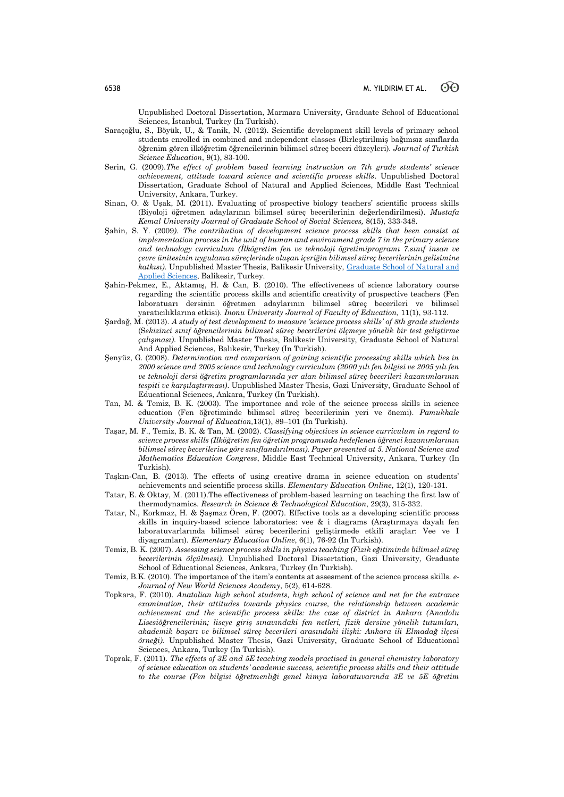Unpublished Doctoral Dissertation, Marmara University, Graduate School of Educational Sciences, İstanbul, Turkey (In Turkish).

- Saraçoğlu, S., Böyük, U., & Tanik, N. (2012). Scientific development skill levels of primary school students enrolled in combined and ındependent classes (Birleştirilmiş bağımsız sınıflarda öğrenim gören ilköğretim öğrencilerinin bilimsel süreç beceri düzeyleri). *Journal of Turkish Science Education*, 9(1), 83-100.
- Serin, G. (2009).*The effect of problem based learning instruction on 7th grade students' science achievement, attitude toward science and scientific process skills*. Unpublished Doctoral Dissertation, Graduate School of Natural and Applied Sciences, Middle East Technical University, Ankara, Turkey.
- Sinan, O. & Uşak, M. (2011). Evaluating of prospective biology teachers' scientific process skills (Biyoloji öğretmen adaylarının bilimsel süreç becerilerinin değerlendirilmesi). *Mustafa Kemal University Journal of Graduate School of Social Sciences,* 8(15), 333-348.
- Şahin, S. Y. (2009*). The contribution of development science process skills that been consist at implementation process in the unit of human and environment grade 7 in the primary science and technology curriculum (İlkögretim fen ve teknoloji ögretimiprogramı 7.sınıf insan ve çevre ünitesinin uygulama süreçlerinde oluşan içeriğin bilimsel süreç becerilerinin gelisimine katkısı)*. Unpublished Master Thesis, Balikesir University, [Graduate School of Natural and](http://tureng.com/search/graduate%20school%20of%20natural%20and%20applied%20sciences)  [Applied Sciences,](http://tureng.com/search/graduate%20school%20of%20natural%20and%20applied%20sciences) Balikesir, Turkey.
- Şahin-Pekmez, E., Aktamış, H. & Can, B. (2010). The effectiveness of science laboratory course regarding the scientific process skills and scientific creativity of prospective teachers (Fen laboratuarı dersinin öğretmen adaylarının bilimsel süreç becerileri ve bilimsel yaratıcılıklarına etkisi). *Inonu University Journal of Faculty of Education,* 11(1), 93-112.
- Şardağ, M. (2013). *A study of test development to measure 'science process skills' of 8th grade students* (S*ekizinci sınıf öğrencilerinin bilimsel süreç becerilerini ölçmeye yönelik bir test geliştirme çalışması)*. Unpublished Master Thesis, Balikesir University, Graduate School of Natural And Applied Sciences, Balıkesir, Turkey (In Turkish).
- Şenyüz, G. (2008). *Determination and comparison of gaining scientific processing skills which lies in 2000 science and 2005 science and technology curriculum (2000 yılı fen bilgisi ve 2005 yılı fen ve teknoloji dersi öğretim programlarında yer alan bilimsel süreç becerileri kazanımlarının tespiti ve karşılaştırması)*. Unpublished Master Thesis, Gazi University, Graduate School of Educational Sciences, Ankara, Turkey (In Turkish).
- Tan, M. & Temiz, B. K. (2003). The importance and role of the science process skills in science education (Fen öğretiminde bilimsel süreç becerilerinin yeri ve önemi). *Pamukkale University Journal of Education,*13(1), 89–101 (In Turkish).
- Taşar, M. F., Temiz, B. K. & Tan, M. (2002). *Classifying objectives in science curriculum in regard to science process skills (İlköğretim fen öğretim programında hedeflenen öğrenci kazanımlarının bilimsel süreç becerilerine göre sınıflandırılması). Paper presented at 5. National Science and Mathematics Education Congress*, Middle East Technical University, Ankara, Turkey (In Turkish).
- Taşkın-Can, B. (2013). The effects of using creative drama in science education on students' achievements and scientific process skills. *Elementary Education Online*, 12(1), 120-131.
- Tatar, E. & Oktay, M. (2011).The effectiveness of problem-based learning on teaching the first law of thermodynamics. *Research in Science & Technological Education*, 29(3), 315-332.
- Tatar, N., Korkmaz, H. & Şaşmaz Ören, F. (2007). Effective tools as a developing scientific process skills in inquiry-based science laboratories: vee & i diagrams (Araştırmaya dayalı fen laboratuvarlarında bilimsel süreç becerilerini geliştirmede etkili araçlar: Vee ve I diyagramları). *Elementary Education Online*, 6(1), 76-92 (In Turkish).
- Temiz, B. K. (2007). *Assessing science process skills in physics teaching (Fizik eğitiminde bilimsel süreç becerilerinin ölçülmesi)*. Unpublished Doctoral Dissertation, Gazi University, Graduate School of Educational Sciences, Ankara, Turkey (In Turkish).
- Temiz, B.K. (2010). The importance of the item's contents at assesment of the science process skills. *e-Journal of New World Sciences Academy*, 5(2), 614-628.
- Topkara, F. (2010). *Anatolian high school students, high school of science and net for the entrance examination, their attitudes towards physics course, the relationship between academic achievement and the scientific process skills: the case of district in Ankara (*A*nadolu Lisesiöğrencilerinin; liseye giriş sınavındaki fen netleri, fizik dersine yönelik tutumları, akademik başarı ve bilimsel süreç becerileri arasındaki ilişki: Ankara ili Elmadağ ilçesi örneği).* Unpublished Master Thesis, Gazi University, Graduate School of Educational Sciences, Ankara, Turkey (In Turkish).
- Toprak, F. (2011). *The effects of 3E and 5E teaching models practised in general chemistry laboratory of science education on students' academic success, scientific process skills and their attitude to the course (Fen bilgisi öğretmenliği genel kimya laboratuvarında 3E ve 5E öğretim*